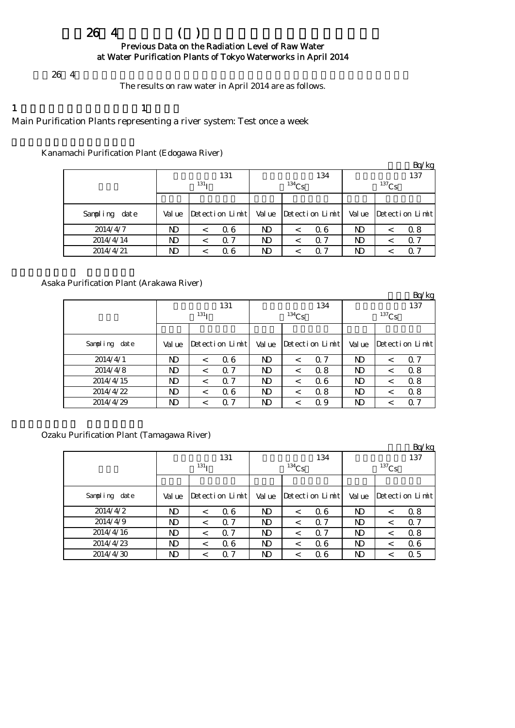# $264$  ( ) Previous Data on the Radiation Level of Raw Water at Water Purification Plants of Tokyo Waterworks in April 2014

 $264$ 

The results on raw water in April 2014 are as follows.

1  $\qquad \qquad 1$ Main Purification Plants representing a river system: Test once a week

# Kanamachi Purification Plant (Edogawa River)

|               |        |                  |                 |        |            |                 |            |         | Bq/kg           |  |
|---------------|--------|------------------|-----------------|--------|------------|-----------------|------------|---------|-----------------|--|
|               |        |                  | 131             |        |            | 134             | 137        |         |                 |  |
|               |        | 131 <sub>T</sub> |                 |        | $^{134}Cs$ |                 | $^{137}Cs$ |         |                 |  |
|               |        |                  |                 |        |            |                 |            |         |                 |  |
| Sampling date | Val ue |                  | Detection Limit | Val ue |            | Detection Limit | Val ue     |         | Detection Limit |  |
| 2014/4/7      | ND     |                  | 06              | ND     |            | Q 6             | ND         |         | 0.8             |  |
| 2014/4/14     | ND.    | $\,<$            | 0.7             | ND     |            | $\Omega$ 7      | ND         | $\,<\,$ | Q 7             |  |
| 2014/4/21     | ND     |                  | 06              | ND     |            | 0. 7            | ND         |         | Q 7             |  |

# Asaka Purification Plant (Arakawa River)

|               |        |                  |                 |           |            |                 |              |         | Bq/kg           |  |
|---------------|--------|------------------|-----------------|-----------|------------|-----------------|--------------|---------|-----------------|--|
|               |        |                  | 131             |           |            | 134             | 137          |         |                 |  |
|               |        | 131 <sub>T</sub> |                 |           | $^{134}Cs$ |                 | $^{137}Cs$   |         |                 |  |
|               |        |                  |                 |           |            |                 |              |         |                 |  |
| Sampling date | Val ue |                  | Detection Limit | Val ue    |            | Detection Limit | Val ue       |         | Detection Limit |  |
| 2014/4/1      | ND     | $\,<\,$          | 06              | <b>ND</b> | $\,<\,$    | $\Omega$ 7      | ND           | $\,<\,$ | 0.7             |  |
| 2014/4/8      | ND     | $\,<\,$          | 0.7             | ND        |            | 0.8             | ND           | $\,<\,$ | 0.8             |  |
| 2014/4/15     | ND     | $\,<\,$          | 0.7             | ND        | $\,<\,$    | 06              | ND           | $\,<\,$ | 0.8             |  |
| 2014/4/22     | ND     | $\,<\,$          | 06              | <b>ND</b> | $\,<\,$    | 0.8             | $\mathbf{D}$ | $\,<\,$ | 0.8             |  |
| 2014/4/29     | ND     | <                | 0.7             | ND        |            | 0.9             | ND           | $\,<\,$ | Q 7             |  |

# Ozaku Purification Plant (Tamagawa River)

|               |        |            |                 |        |          |                 |          |         | Bq/kg           |  |  |
|---------------|--------|------------|-----------------|--------|----------|-----------------|----------|---------|-----------------|--|--|
|               |        |            | 131             |        |          | 134             | 137      |         |                 |  |  |
|               |        | $^{131}$ I |                 |        | $134$ Cs |                 | $137$ Cs |         |                 |  |  |
|               |        |            |                 |        |          |                 |          |         |                 |  |  |
| Sampling date | Val ue |            | Detection Limit | Val ue |          | Detection Limit | Val ue   |         | Detection Limit |  |  |
| 2014/4/2      | ND     | $\,<\,$    | 06              | ND     | $\,<\,$  | 06              | ND       | $\,<\,$ | 0.8             |  |  |
| 2014/4/9      | ND     | $\,<\,$    | 0.7             | ND     | $\,<\,$  | $\Omega$ 7      | N)       | $\,<\,$ | 0.7             |  |  |
| 2014/4/16     | ND     | $\,<\,$    | 0.7             | ND     | $\,<\,$  | $\Omega$ 7      | ND       | $\,<\,$ | 0.8             |  |  |
| 2014/4/23     | ND     | $\,<\,$    | 06              | ND     | $\,<\,$  | 06              | ND       | $\,<\,$ | 06              |  |  |
| 2014/4/30     | ND     |            | 0.7             | ND     |          | 06              | ND       | $\,<\,$ | 0.5             |  |  |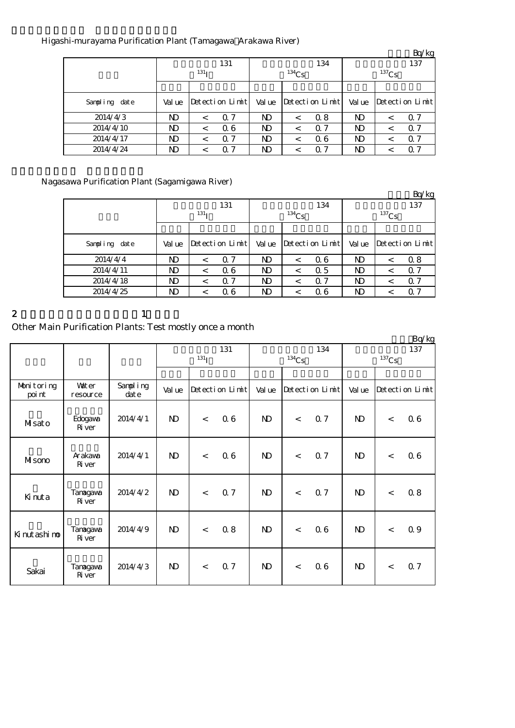# Higashi-murayama Purification Plant (Tamagawa Arakawa River)

|               |        |                  |                 |           |          |                      |          |         | Bq/kg           |  |
|---------------|--------|------------------|-----------------|-----------|----------|----------------------|----------|---------|-----------------|--|
|               |        |                  | 131             |           |          | 134                  | 137      |         |                 |  |
|               |        | 131 <sub>T</sub> |                 |           | $134$ Cs |                      | $137$ Cs |         |                 |  |
|               |        |                  |                 |           |          |                      |          |         |                 |  |
| Sampling date | Val ue |                  | Detection Limit | Val ue    |          | $Detecti$ on $Limit$ | Val ue   |         | Detection Limit |  |
| 2014/4/3      | ND     | $\,<\,$          | 0.7             | ND        |          | 0.8                  | ND       | $\,<\,$ | Q 7             |  |
| 2014/4/10     | ND     | $\,<\,$          | 06              | <b>ND</b> | $\,<\,$  | $\alpha$ 7           | ND       | $\,<\,$ | Q 7             |  |
| 2014/4/17     | ND     |                  | 0.7             | ND        |          | 06                   | ND       | $\,<\,$ | 0.7             |  |
| 2014/4/24     | ND     |                  | 0.7             | ND        |          | $\alpha$ 7           | ND       |         | 0.7             |  |

# Nagasawa Purification Plant (Sagamigawa River)

|               |        |                  |                        |           |          |                 |          |         | Bq/kg                         |  |
|---------------|--------|------------------|------------------------|-----------|----------|-----------------|----------|---------|-------------------------------|--|
|               |        |                  | 131                    |           |          | 134             | 137      |         |                               |  |
|               |        | 131 <sub>T</sub> |                        |           | $134$ Cs |                 | $137$ Cs |         |                               |  |
|               |        |                  |                        |           |          |                 |          |         |                               |  |
| Sampling date | Val ue |                  | $Detecti$ on $Lin\nti$ | Val ue    |          | Detection Limit | Val ue   |         | $Detecti$ on $Lin\rightarrow$ |  |
| 2014/4/4      | ND     | $\,<\,$          | 0.7                    | <b>ND</b> |          | 06              | ND       | $\,<\,$ | 0.8                           |  |
| 2014/4/11     | ND     | $\,<\,$          | 06                     | ND        | $\,<\,$  | 0.5             | ND       | $\,<\,$ | Q 7                           |  |
| 2014/4/18     | ND     | $\,<\,$          | 0.7                    | ND        |          | $\Omega$ 7      | ND       | $\,<\,$ | Q 7                           |  |
| 2014/4/25     | ND     | $\,<\,$          | 06                     | ND        | $\,<\,$  | 06              | ND       | $\,<\,$ | Q 7                           |  |

2 and  $\lambda$  1

# Other Main Purification Plants: Test mostly once a month

|                      |                          |                      |              |                    |                 |              |          |                 |                 |       | Bq/kg           |
|----------------------|--------------------------|----------------------|--------------|--------------------|-----------------|--------------|----------|-----------------|-----------------|-------|-----------------|
|                      |                          |                      |              | $131$ <sup>T</sup> | 131             |              | $134$ Cs | 134             | 137<br>$137$ Cs |       |                 |
|                      |                          |                      |              |                    |                 |              |          |                 |                 |       |                 |
| Monitoring<br>poi nt | <b>Vater</b><br>resource | Sampling<br>$\det e$ | Val ue       |                    | Detection Limit | Val ue       |          | Detection Limit | Val ue          |       | Detection Limit |
| Misato               | Edogava<br><b>R</b> iver | 2014/4/1             | $\mathbf{N}$ | $\lt$              | 06              | $\mathbf{D}$ | $\lt$    | 0.7             | $\mathbf{D}$    | $\lt$ | 06              |
| Misono               | Arakawa<br><b>R</b> iver | 2014/4/1             | $\mathbf{D}$ | $\,<$              | 06              | $\mathbf{N}$ | $\lt$    | <b>Q</b> 7      | $\mathbf{D}$    | $\lt$ | 06              |
| Kinuta               | Tanagawa<br>Ri ver       | 2014/4/2             | $\mathbf{D}$ | $\lt$              | 0.7             | $\mathbf{D}$ | $\lt$    | 0.7             | $\mathbf{D}$    | $\lt$ | 0.8             |
| Ki nut ashi no       | Tanagawa<br>Ri ver       | 2014/4/9             | $\mathbf{N}$ | $\lt$              | 0.8             | $\mathbf{N}$ | $\lt$    | 06              | $\mathbf{D}$    | $\lt$ | 0.9             |
| Sakai                | Tanagawa<br>Ri ver       | 2014/4/3             | $\mathbf{D}$ | $\lt$              | 0.7             | $\mathbf{N}$ | $\lt$    | 06              | $\mathbf{D}$    | $\lt$ | 0.7             |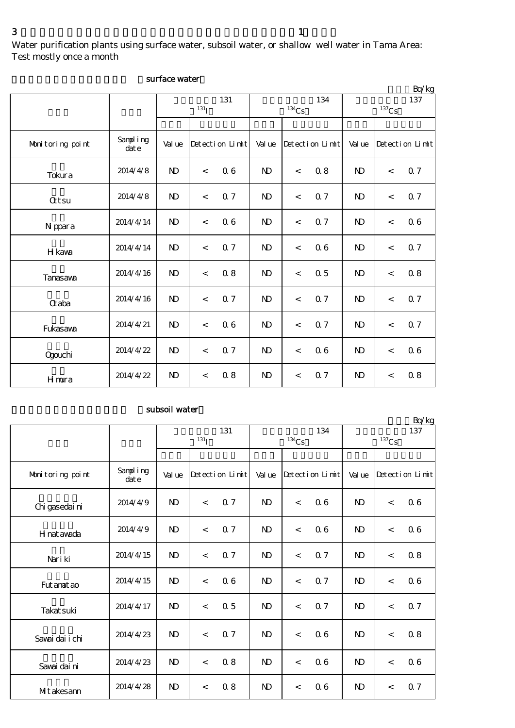Water purification plants using surface water, subsoil water, or shallow well water in Tama Area: Test mostly once a month

|                  |                  |                         |                          |                 |                |                     |                 |                   |         | Bq/kg           |  |
|------------------|------------------|-------------------------|--------------------------|-----------------|----------------|---------------------|-----------------|-------------------|---------|-----------------|--|
|                  |                  | 131<br>131 <sub>I</sub> |                          |                 |                | $^{134}\mathrm{Cs}$ | 134             | 137<br>$^{137}Cs$ |         |                 |  |
| Monitoring point | Sampling<br>date | Val ue                  |                          | Detection Limit | Val ue         |                     | Detection Limit | Val ue            |         | Detection Limit |  |
| Tokura           | 2014/4/8         | $\mathbf{N}$            | $\lt$                    | 06              | $\mathbf{N}$   | $\,<$               | 08              | $\mathbf{N}$      | $\,<$   | 0.7             |  |
| <b>Qtsu</b>      | 2014/4/8         | $\mathbf{N}$            | $\lt$                    | 0.7             | N <sub>D</sub> | $\,<$               | Q <sub>7</sub>  | $\mathbf{N}$      | $\lt$   | 0.7             |  |
| N ppara          | 2014/4/14        | $\mathbf{N}$            | $\overline{\phantom{a}}$ | 06              | $\mathbf{N}$   | $\,<$               | 0.7             | $\mathbf{N}$      | $\prec$ | 06              |  |
| H kava           | 2014/4/14        | $\mathbf{N}$            | $\lt$                    | 0.7             | N <sub>D</sub> | $\lt$               | 06              | $\mathbf{D}$      | $\lt$   | 0.7             |  |
| Tanasawa         | 2014/4/16        | $\mathbf{N}$            | $\lt$                    | 0.8             | $\mathbf{N}$   | $\lt$               | 0.5             | $\mathbf{N}$      | $\lt$   | 0.8             |  |
| <b>G</b> aba     | 2014/4/16        | $\mathbf{N}$            | $\,<$                    | 0.7             | $\mathbf{N}$   | $\,<$               | <b>Q</b> 7      | $\mathbf{N}$      | $\,<$   | 0.7             |  |
| Fukasawa         | 2014/4/21        | $\mathbf{N}$            | $\lt$                    | 06              | N <sub>D</sub> | $\,<$               | 0.7             | $\mathbf{D}$      | $\,<$   | 0.7             |  |
| Qgouchi          | 2014/4/22        | N <sub>D</sub>          | $\overline{\phantom{a}}$ | 0.7             | N <sub>D</sub> | $\,<$               | 06              | $\mathbf{N}$      | $\,<$   | 06              |  |
| Hmura            | 2014/4/22        | N <sub>D</sub>          | $\lt$                    | 0.8             | $\mathbf{N}$   | $\,<\,$             | 0.7             | $\mathbf{N}$      | $\lt$   | 0.8             |  |

### surface water

# subsoil water

|                  |                  |                |                    |                 |                |          |                 |                       |       | Bq/kg           |  |
|------------------|------------------|----------------|--------------------|-----------------|----------------|----------|-----------------|-----------------------|-------|-----------------|--|
|                  |                  |                |                    | 131             |                |          | 134             | 137                   |       |                 |  |
|                  |                  |                | $131$ <sub>I</sub> |                 |                | $134$ Cs |                 | ${}^{137}\mathrm{Cs}$ |       |                 |  |
|                  |                  |                |                    |                 |                |          |                 |                       |       |                 |  |
| Monitoring point | Sampling<br>date | Val ue         |                    | Detection Limit | Val ue         |          | Detection Limit | Val ue                |       | Detection Limit |  |
| Chi gasedai ni   | 2014/4/9         | $\mathbf{N}$   | $\lt$              | 0.7             | N <sub>D</sub> | $\lt$    | 06              | N <sub>D</sub>        | $\,<$ | 06              |  |
| H nat awada      | 2014/4/9         | $\mathbf{N}$   | $\,<$              | 0.7             | $\mathbf{N}$   | $\lt$    | 06              | $\mathbf{D}$          | $\,<$ | 06              |  |
| Nari ki          | 2014/4/15        | $\mathbf{D}$   | $\lt$              | 0.7             | N <sub>D</sub> | $\lt$    | 0.7             | $\mathbf{N}$          | $\lt$ | 0.8             |  |
| Fut anat ao      | 2014/4/15        | $\mathbf{D}$   | $\lt$              | 06              | $\mathbf{N}$   | $\lt$    | Q 7             | $\mathbf{N}$          | $\,<$ | 06              |  |
| Takat suki       | 2014/4/17        | $\mathbf{N}$   | $\lt$              | 0.5             | N <sub>D</sub> | $\lt$    | <b>Q</b> 7      | $\mathbf{N}$          | $\lt$ | 0.7             |  |
| Savai dai i chi  | 2014/4/23        | N <sub>D</sub> | $\lt$              | 0.7             | N <sub>D</sub> | $\,<\,$  | 06              | $\mathbf{D}$          | $\,<$ | 0.8             |  |
| Savai dai ni     | 2014/4/23        | $\mathbf{D}$   | $\lt$              | 0.8             | <b>ND</b>      | $\lt$    | 06              | $\mathbf{D}$          | $\,<$ | 06              |  |
| MIt akesann      | 2014/4/28        | $\mathbf{D}$   | $\lt$              | 0.8             | $\mathbf{N}$   | $\lt$    | 06              | $\mathbf{D}$          | $\,<$ | 0.7             |  |